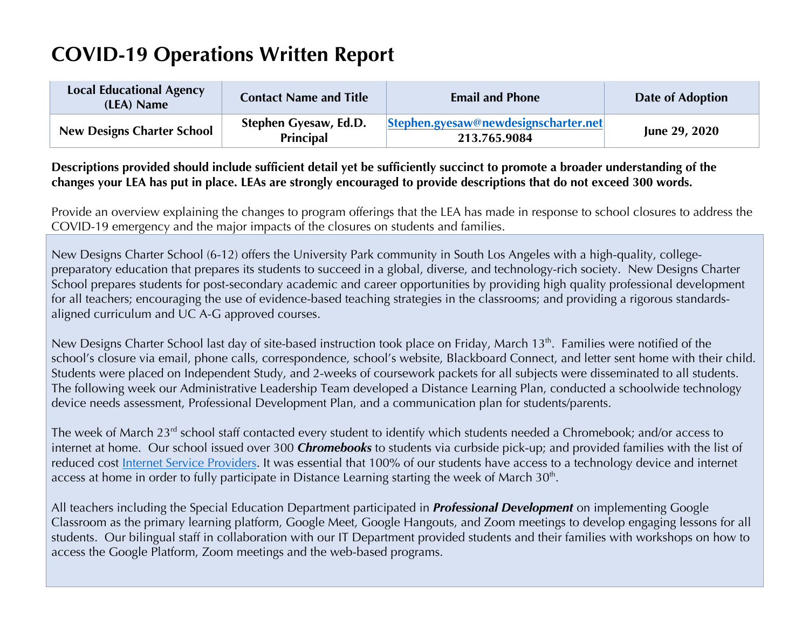## **COVID-19 Operations Written Report**

| <b>Local Educational Agency</b><br>(LEA) Name | <b>Contact Name and Title</b>             | <b>Email and Phone</b>                                                       | Date of Adoption |
|-----------------------------------------------|-------------------------------------------|------------------------------------------------------------------------------|------------------|
| <b>New Designs Charter School</b>             | Stephen Gyesaw, Ed.D.<br><b>Principal</b> | $\left  \text{Stephen.gyesaw@newdesignscharter.net} \right $<br>213.765.9084 | June 29, 2020    |

## **Descriptions provided should include sufficient detail yet be sufficiently succinct to promote a broader understanding of the changes your LEA has put in place. LEAs are strongly encouraged to provide descriptions that do not exceed 300 words.**

Provide an overview explaining the changes to program offerings that the LEA has made in response to school closures to address the COVID-19 emergency and the major impacts of the closures on students and families.

New Designs Charter School (6-12) offers the University Park community in South Los Angeles with a high-quality, collegepreparatory education that prepares its students to succeed in a global, diverse, and technology-rich society. New Designs Charter School prepares students for post-secondary academic and career opportunities by providing high quality professional development for all teachers; encouraging the use of evidence-based teaching strategies in the classrooms; and providing a rigorous standardsaligned curriculum and UC A-G approved courses.

New Designs Charter School last day of site-based instruction took place on Friday, March 13<sup>th</sup>. Families were notified of the school's closure via email, phone calls, correspondence, school's website, Blackboard Connect, and letter sent home with their child. Students were placed on Independent Study, and 2-weeks of coursework packets for all subjects were disseminated to all students. The following week our Administrative Leadership Team developed a Distance Learning Plan, conducted a schoolwide technology device needs assessment, Professional Development Plan, and a communication plan for students/parents.

The week of March 23<sup>rd</sup> school staff contacted every student to identify which students needed a Chromebook; and/or access to internet at home. Our school issued over 300 *Chromebooks* to students via curbside pick-up; and provided families with the list of reduced cost Internet Service Providers. It was essential that 100% of our students have access to a technology device and internet access at home in order to fully participate in Distance Learning starting the week of March  $30<sup>th</sup>$ .

All teachers including the Special Education Department participated in *Professional Development* on implementing Google Classroom as the primary learning platform, Google Meet, Google Hangouts, and Zoom meetings to develop engaging lessons for all students. Our bilingual staff in collaboration with our IT Department provided students and their families with workshops on how to access the Google Platform, Zoom meetings and the web-based programs.

1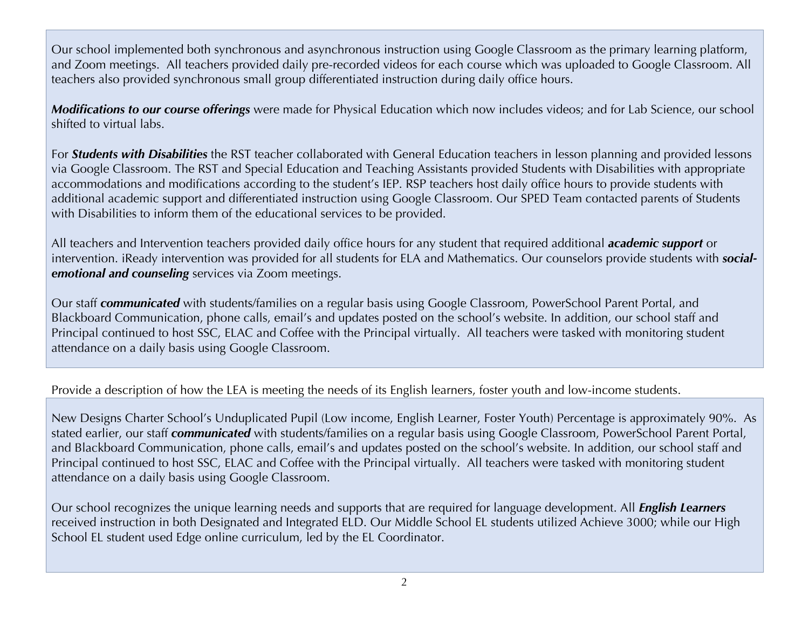Our school implemented both synchronous and asynchronous instruction using Google Classroom as the primary learning platform, and Zoom meetings. All teachers provided daily pre-recorded videos for each course which was uploaded to Google Classroom. All teachers also provided synchronous small group differentiated instruction during daily office hours.

*Modifications to our course offerings* were made for Physical Education which now includes videos; and for Lab Science, our school shifted to virtual labs.

For *Students with Disabilities* the RST teacher collaborated with General Education teachers in lesson planning and provided lessons via Google Classroom. The RST and Special Education and Teaching Assistants provided Students with Disabilities with appropriate accommodations and modifications according to the student's IEP. RSP teachers host daily office hours to provide students with additional academic support and differentiated instruction using Google Classroom. Our SPED Team contacted parents of Students with Disabilities to inform them of the educational services to be provided.

All teachers and Intervention teachers provided daily office hours for any student that required additional *academic support* or intervention. iReady intervention was provided for all students for ELA and Mathematics. Our counselors provide students with *socialemotional and counseling* services via Zoom meetings.

Our staff *communicated* with students/families on a regular basis using Google Classroom, PowerSchool Parent Portal, and Blackboard Communication, phone calls, email's and updates posted on the school's website. In addition, our school staff and Principal continued to host SSC, ELAC and Coffee with the Principal virtually. All teachers were tasked with monitoring student attendance on a daily basis using Google Classroom.

Provide a description of how the LEA is meeting the needs of its English learners, foster youth and low-income students.

New Designs Charter School's Unduplicated Pupil (Low income, English Learner, Foster Youth) Percentage is approximately 90%. As stated earlier, our staff *communicated* with students/families on a regular basis using Google Classroom, PowerSchool Parent Portal, and Blackboard Communication, phone calls, email's and updates posted on the school's website. In addition, our school staff and Principal continued to host SSC, ELAC and Coffee with the Principal virtually. All teachers were tasked with monitoring student attendance on a daily basis using Google Classroom.

Our school recognizes the unique learning needs and supports that are required for language development. All *English Learners*  received instruction in both Designated and Integrated ELD. Our Middle School EL students utilized Achieve 3000; while our High School EL student used Edge online curriculum, led by the EL Coordinator.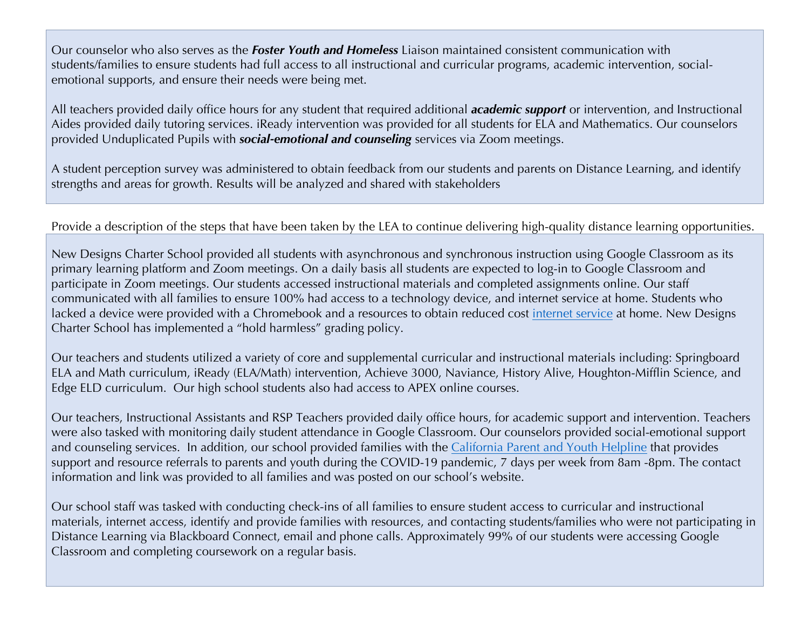Our counselor who also serves as the *Foster Youth and Homeless* Liaison maintained consistent communication with students/families to ensure students had full access to all instructional and curricular programs, academic intervention, socialemotional supports, and ensure their needs were being met.

All teachers provided daily office hours for any student that required additional *academic support* or intervention, and Instructional Aides provided daily tutoring services. iReady intervention was provided for all students for ELA and Mathematics. Our counselors provided Unduplicated Pupils with *social-emotional and counseling* services via Zoom meetings.

A student perception survey was administered to obtain feedback from our students and parents on Distance Learning, and identify strengths and areas for growth. Results will be analyzed and shared with stakeholders

## Provide a description of the steps that have been taken by the LEA to continue delivering high-quality distance learning opportunities.

New Designs Charter School provided all students with asynchronous and synchronous instruction using Google Classroom as its primary learning platform and Zoom meetings. On a daily basis all students are expected to log-in to Google Classroom and participate in Zoom meetings. Our students accessed instructional materials and completed assignments online. Our staff communicated with all families to ensure 100% had access to a technology device, and internet service at home. Students who lacked a device were provided with a Chromebook and a resources to obtain reduced cost internet service at home. New Designs Charter School has implemented a "hold harmless" grading policy.

Our teachers and students utilized a variety of core and supplemental curricular and instructional materials including: Springboard ELA and Math curriculum, iReady (ELA/Math) intervention, Achieve 3000, Naviance, History Alive, Houghton-Mifflin Science, and Edge ELD curriculum. Our high school students also had access to APEX online courses.

Our teachers, Instructional Assistants and RSP Teachers provided daily office hours, for academic support and intervention. Teachers were also tasked with monitoring daily student attendance in Google Classroom. Our counselors provided social-emotional support and counseling services. In addition, our school provided families with the California Parent and Youth Helpline that provides support and resource referrals to parents and youth during the COVID-19 pandemic, 7 days per week from 8am -8pm. The contact information and link was provided to all families and was posted on our school's website.

Our school staff was tasked with conducting check-ins of all families to ensure student access to curricular and instructional materials, internet access, identify and provide families with resources, and contacting students/families who were not participating in Distance Learning via Blackboard Connect, email and phone calls. Approximately 99% of our students were accessing Google Classroom and completing coursework on a regular basis.

3